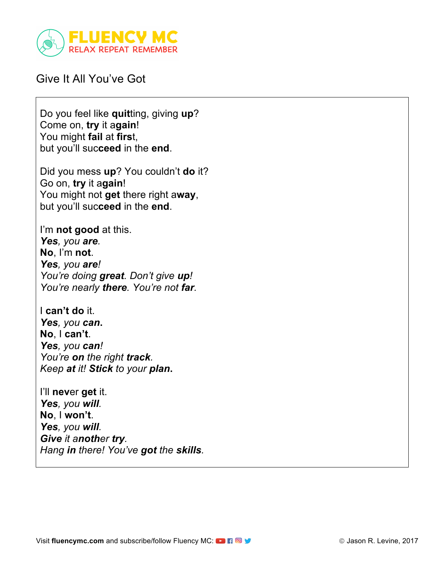

## Give It All You've Got

Do you feel like **quit**ting, giving **up**? Come on, **try** it a**gain**! You might **fail** at **firs**t, but you'll suc**ceed** in the **end**.

Did you mess **up**? You couldn't **do** it? Go on, **try** it a**gain**! You might not **get** there right a**way**, but you'll suc**ceed** in the **end**.

I'm **not good** at this. *Yes, you are.* **No**, I'm **not**. *Yes, you are! You're doing great. Don't give up! You're nearly there. You're not far.*

I **can't do** it. *Yes, you can***. No**, I **can't**. *Yes, you can! You're on the right track. Keep at it! Stick to your plan***.**

I'll **nev**er **get** it. *Yes, you will.* **No**, I **won't**. *Yes, you will. Give it another try. Hang in there! You've got the skills.*